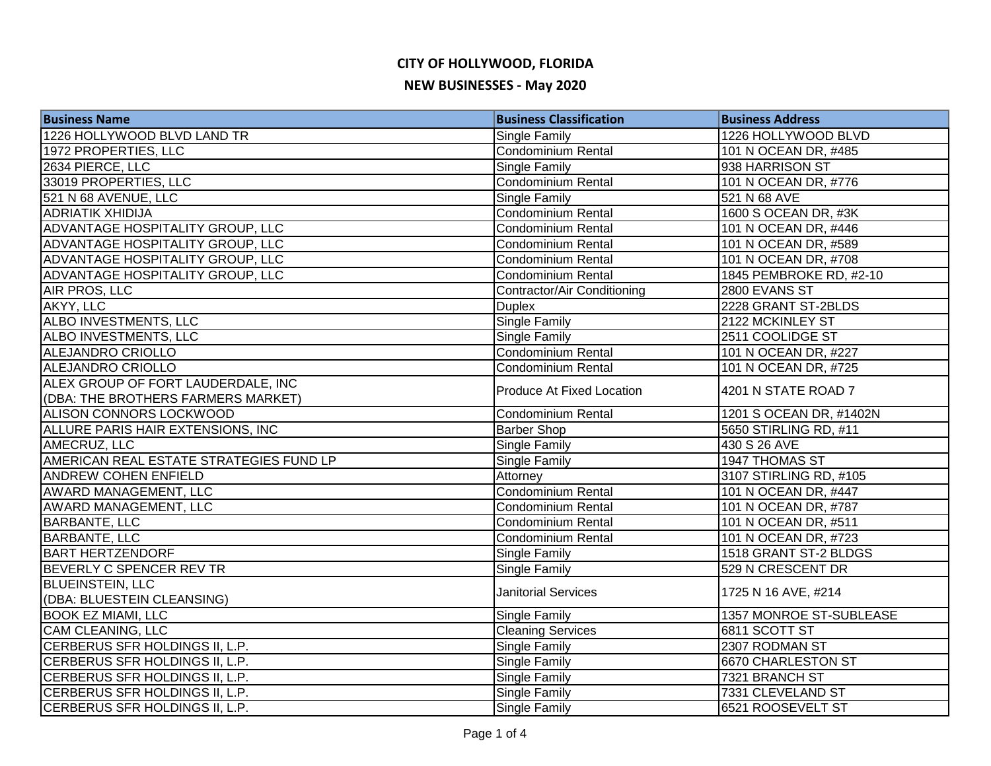# **CITY OF HOLLYWOOD, FLORIDA**

#### **NEW BUSINESSES - May 2020**

| <b>Business Name</b>                    | <b>Business Classification</b>     | <b>Business Address</b> |
|-----------------------------------------|------------------------------------|-------------------------|
| 1226 HOLLYWOOD BLVD LAND TR             | Single Family                      | 1226 HOLLYWOOD BLVD     |
| 1972 PROPERTIES, LLC                    | <b>Condominium Rental</b>          | 101 N OCEAN DR, #485    |
| 2634 PIERCE, LLC                        | Single Family                      | 938 HARRISON ST         |
| 33019 PROPERTIES, LLC                   | <b>Condominium Rental</b>          | 101 N OCEAN DR, #776    |
| 521 N 68 AVENUE, LLC                    | Single Family                      | 521 N 68 AVE            |
| <b>ADRIATIK XHIDIJA</b>                 | Condominium Rental                 | 1600 S OCEAN DR, #3K    |
| ADVANTAGE HOSPITALITY GROUP, LLC        | <b>Condominium Rental</b>          | 101 N OCEAN DR, #446    |
| ADVANTAGE HOSPITALITY GROUP, LLC        | Condominium Rental                 | 101 N OCEAN DR, #589    |
| ADVANTAGE HOSPITALITY GROUP, LLC        | Condominium Rental                 | 101 N OCEAN DR, #708    |
| ADVANTAGE HOSPITALITY GROUP, LLC        | Condominium Rental                 | 1845 PEMBROKE RD, #2-10 |
| <b>AIR PROS, LLC</b>                    | <b>Contractor/Air Conditioning</b> | 2800 EVANS ST           |
| AKYY, LLC                               | <b>Duplex</b>                      | 2228 GRANT ST-2BLDS     |
| ALBO INVESTMENTS, LLC                   | Single Family                      | 2122 MCKINLEY ST        |
| ALBO INVESTMENTS, LLC                   | <b>Single Family</b>               | 2511 COOLIDGE ST        |
| ALEJANDRO CRIOLLO                       | Condominium Rental                 | 101 N OCEAN DR, #227    |
| <b>ALEJANDRO CRIOLLO</b>                | Condominium Rental                 | 101 N OCEAN DR, #725    |
| ALEX GROUP OF FORT LAUDERDALE, INC      | Produce At Fixed Location          | 4201 N STATE ROAD 7     |
| (DBA: THE BROTHERS FARMERS MARKET)      |                                    |                         |
| <b>ALISON CONNORS LOCKWOOD</b>          | Condominium Rental                 | 1201 S OCEAN DR, #1402N |
| ALLURE PARIS HAIR EXTENSIONS, INC       | <b>Barber Shop</b>                 | 5650 STIRLING RD, #11   |
| AMECRUZ, LLC                            | <b>Single Family</b>               | 430 S 26 AVE            |
| AMERICAN REAL ESTATE STRATEGIES FUND LP | Single Family                      | 1947 THOMAS ST          |
| <b>ANDREW COHEN ENFIELD</b>             | Attorney                           | 3107 STIRLING RD, #105  |
| AWARD MANAGEMENT, LLC                   | <b>Condominium Rental</b>          | 101 N OCEAN DR, #447    |
| <b>AWARD MANAGEMENT, LLC</b>            | <b>Condominium Rental</b>          | 101 N OCEAN DR, #787    |
| <b>BARBANTE, LLC</b>                    | <b>Condominium Rental</b>          | 101 N OCEAN DR, #511    |
| <b>BARBANTE, LLC</b>                    | Condominium Rental                 | 101 N OCEAN DR, #723    |
| <b>BART HERTZENDORF</b>                 | Single Family                      | 1518 GRANT ST-2 BLDGS   |
| BEVERLY C SPENCER REV TR                | <b>Single Family</b>               | 529 N CRESCENT DR       |
| <b>BLUEINSTEIN, LLC</b>                 | <b>Janitorial Services</b>         | 1725 N 16 AVE, #214     |
| (DBA: BLUESTEIN CLEANSING)              |                                    |                         |
| <b>BOOK EZ MIAMI, LLC</b>               | Single Family                      | 1357 MONROE ST-SUBLEASE |
| CAM CLEANING, LLC                       | <b>Cleaning Services</b>           | 6811 SCOTT ST           |
| CERBERUS SFR HOLDINGS II, L.P.          | Single Family                      | 2307 RODMAN ST          |
| CERBERUS SFR HOLDINGS II, L.P.          | Single Family                      | 6670 CHARLESTON ST      |
| CERBERUS SFR HOLDINGS II, L.P.          | <b>Single Family</b>               | 7321 BRANCH ST          |
| CERBERUS SFR HOLDINGS II, L.P.          | Single Family                      | 7331 CLEVELAND ST       |
| CERBERUS SFR HOLDINGS II, L.P.          | <b>Single Family</b>               | 6521 ROOSEVELT ST       |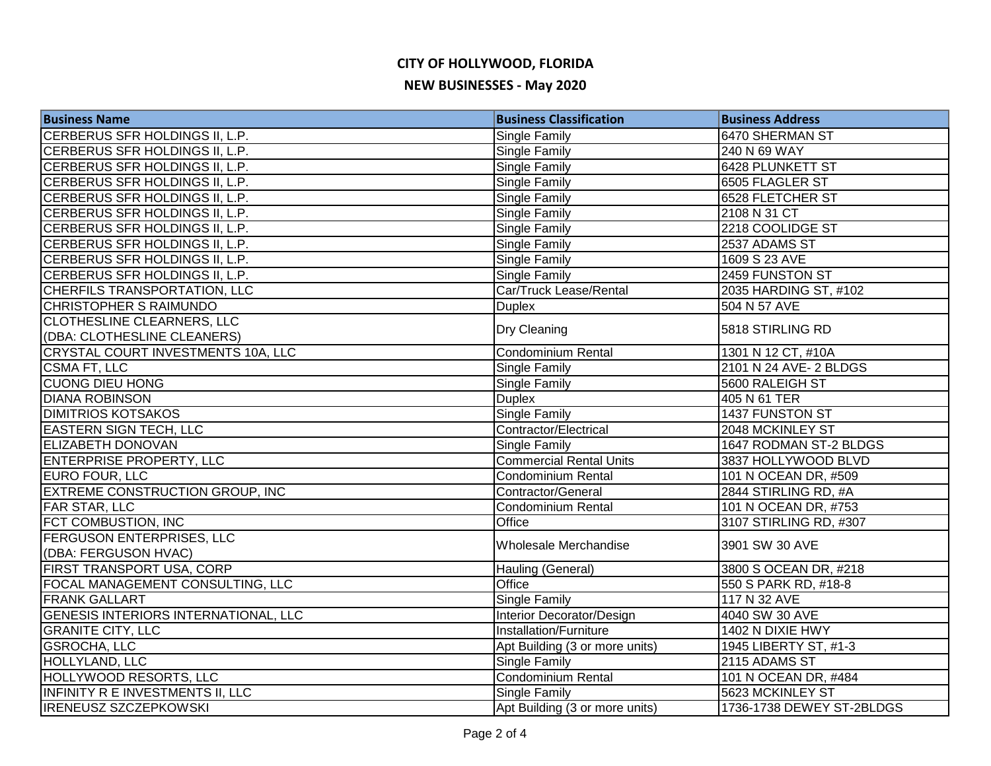### **CITY OF HOLLYWOOD, FLORIDA NEW BUSINESSES - May 2020**

| <b>Business Name</b>                        | <b>Business Classification</b> | <b>Business Address</b>   |
|---------------------------------------------|--------------------------------|---------------------------|
| CERBERUS SFR HOLDINGS II, L.P.              | Single Family                  | 6470 SHERMAN ST           |
| CERBERUS SFR HOLDINGS II, L.P.              | <b>Single Family</b>           | 240 N 69 WAY              |
| CERBERUS SFR HOLDINGS II, L.P.              | Single Family                  | 6428 PLUNKETT ST          |
| CERBERUS SFR HOLDINGS II, L.P.              | Single Family                  | 6505 FLAGLER ST           |
| CERBERUS SFR HOLDINGS II, L.P.              | <b>Single Family</b>           | <b>6528 FLETCHER ST</b>   |
| CERBERUS SFR HOLDINGS II, L.P.              | Single Family                  | 2108 N 31 CT              |
| CERBERUS SFR HOLDINGS II, L.P.              | Single Family                  | 2218 COOLIDGE ST          |
| CERBERUS SFR HOLDINGS II, L.P.              | Single Family                  | 2537 ADAMS ST             |
| CERBERUS SFR HOLDINGS II, L.P.              | <b>Single Family</b>           | 1609 S 23 AVE             |
| CERBERUS SFR HOLDINGS II, L.P.              | <b>Single Family</b>           | 2459 FUNSTON ST           |
| CHERFILS TRANSPORTATION, LLC                | Car/Truck Lease/Rental         | 2035 HARDING ST, #102     |
| <b>CHRISTOPHER S RAIMUNDO</b>               | <b>Duplex</b>                  | 504 N 57 AVE              |
| CLOTHESLINE CLEARNERS, LLC                  |                                | 5818 STIRLING RD          |
| (DBA: CLOTHESLINE CLEANERS)                 | Dry Cleaning                   |                           |
| CRYSTAL COURT INVESTMENTS 10A, LLC          | Condominium Rental             | 1301 N 12 CT, #10A        |
| CSMA FT, LLC                                | Single Family                  | 2101 N 24 AVE- 2 BLDGS    |
| <b>CUONG DIEU HONG</b>                      | Single Family                  | 5600 RALEIGH ST           |
| <b>DIANA ROBINSON</b>                       | <b>Duplex</b>                  | 405 N 61 TER              |
| <b>DIMITRIOS KOTSAKOS</b>                   | <b>Single Family</b>           | 1437 FUNSTON ST           |
| <b>EASTERN SIGN TECH, LLC</b>               | Contractor/Electrical          | 2048 MCKINLEY ST          |
| <b>ELIZABETH DONOVAN</b>                    | Single Family                  | 1647 RODMAN ST-2 BLDGS    |
| <b>ENTERPRISE PROPERTY, LLC</b>             | <b>Commercial Rental Units</b> | 3837 HOLLYWOOD BLVD       |
| EURO FOUR, LLC                              | Condominium Rental             | 101 N OCEAN DR, #509      |
| <b>EXTREME CONSTRUCTION GROUP, INC</b>      | Contractor/General             | 2844 STIRLING RD, #A      |
| <b>FAR STAR, LLC</b>                        | Condominium Rental             | 101 N OCEAN DR, #753      |
| FCT COMBUSTION, INC                         | Office                         | 3107 STIRLING RD, #307    |
| <b>FERGUSON ENTERPRISES, LLC</b>            | Wholesale Merchandise          | 3901 SW 30 AVE            |
| (DBA: FERGUSON HVAC)                        |                                |                           |
| <b>FIRST TRANSPORT USA, CORP</b>            | Hauling (General)              | 3800 S OCEAN DR, #218     |
| FOCAL MANAGEMENT CONSULTING, LLC            | <b>Office</b>                  | 550 S PARK RD, #18-8      |
| <b>FRANK GALLART</b>                        | Single Family                  | 117 N 32 AVE              |
| <b>GENESIS INTERIORS INTERNATIONAL, LLC</b> | Interior Decorator/Design      | 4040 SW 30 AVE            |
| <b>GRANITE CITY, LLC</b>                    | Installation/Furniture         | 1402 N DIXIE HWY          |
| <b>GSROCHA, LLC</b>                         | Apt Building (3 or more units) | 1945 LIBERTY ST, #1-3     |
| <b>HOLLYLAND, LLC</b>                       | Single Family                  | 2115 ADAMS ST             |
| <b>HOLLYWOOD RESORTS, LLC</b>               | Condominium Rental             | 101 N OCEAN DR, #484      |
| <b>INFINITY R E INVESTMENTS II, LLC</b>     | <b>Single Family</b>           | 5623 MCKINLEY ST          |
| <b>IRENEUSZ SZCZEPKOWSKI</b>                | Apt Building (3 or more units) | 1736-1738 DEWEY ST-2BLDGS |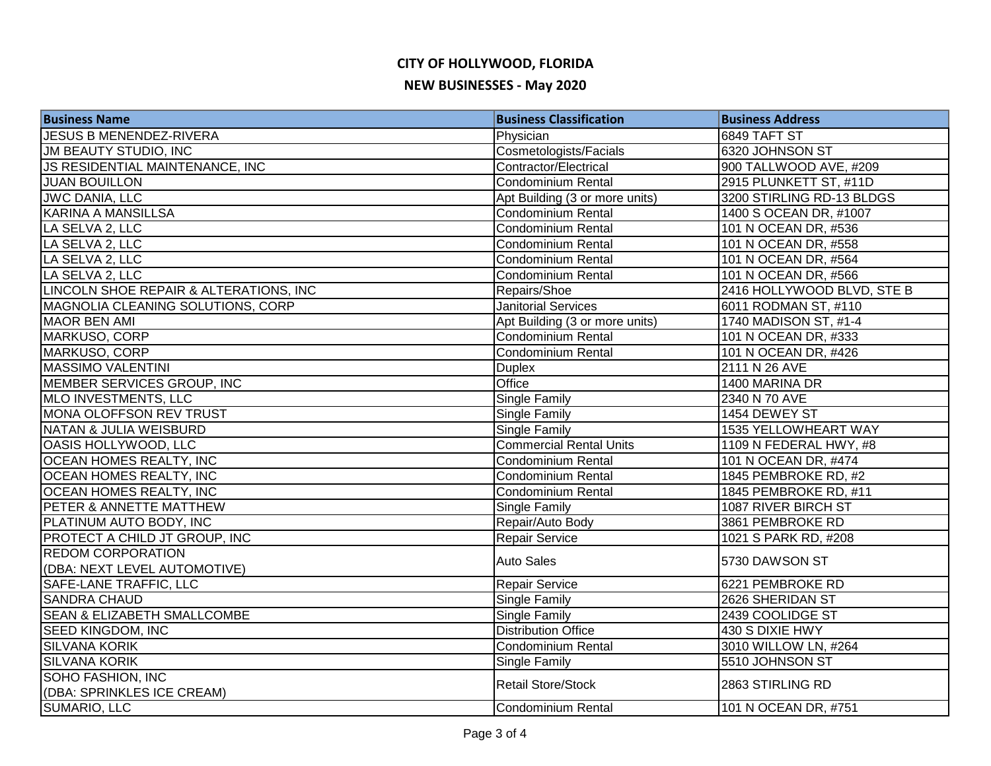### **CITY OF HOLLYWOOD, FLORIDA NEW BUSINESSES - May 2020**

| <b>Business Name</b>                   | <b>Business Classification</b> | <b>Business Address</b>    |
|----------------------------------------|--------------------------------|----------------------------|
| JESUS B MENENDEZ-RIVERA                | Physician                      | <b>6849 TAFT ST</b>        |
| <b>JM BEAUTY STUDIO, INC</b>           | Cosmetologists/Facials         | 6320 JOHNSON ST            |
| JS RESIDENTIAL MAINTENANCE, INC        | <b>Contractor/Electrical</b>   | 900 TALLWOOD AVE, #209     |
| <b>JUAN BOUILLON</b>                   | Condominium Rental             | 2915 PLUNKETT ST, #11D     |
| <b>JWC DANIA, LLC</b>                  | Apt Building (3 or more units) | 3200 STIRLING RD-13 BLDGS  |
| <b>KARINA A MANSILLSA</b>              | Condominium Rental             | 1400 S OCEAN DR, #1007     |
| LA SELVA 2, LLC                        | Condominium Rental             | 101 N OCEAN DR, #536       |
| LA SELVA 2, LLC                        | Condominium Rental             | 101 N OCEAN DR, #558       |
| LA SELVA 2, LLC                        | Condominium Rental             | 101 N OCEAN DR, #564       |
| LA SELVA 2, LLC                        | Condominium Rental             | 101 N OCEAN DR, #566       |
| LINCOLN SHOE REPAIR & ALTERATIONS, INC | Repairs/Shoe                   | 2416 HOLLYWOOD BLVD, STE B |
| MAGNOLIA CLEANING SOLUTIONS, CORP      | <b>Janitorial Services</b>     | 6011 RODMAN ST, #110       |
| MAOR BEN AMI                           | Apt Building (3 or more units) | 1740 MADISON ST, #1-4      |
| MARKUSO, CORP                          | Condominium Rental             | 101 N OCEAN DR, #333       |
| MARKUSO, CORP                          | Condominium Rental             | 101 N OCEAN DR, #426       |
| <b>MASSIMO VALENTINI</b>               | <b>Duplex</b>                  | 2111 N 26 AVE              |
| MEMBER SERVICES GROUP, INC             | Office                         | 1400 MARINA DR             |
| MLO INVESTMENTS, LLC                   | <b>Single Family</b>           | 2340 N 70 AVE              |
| MONA OLOFFSON REV TRUST                | <b>Single Family</b>           | 1454 DEWEY ST              |
| NATAN & JULIA WEISBURD                 | <b>Single Family</b>           | 1535 YELLOWHEART WAY       |
| OASIS HOLLYWOOD, LLC                   | <b>Commercial Rental Units</b> | 1109 N FEDERAL HWY, #8     |
| <b>OCEAN HOMES REALTY, INC</b>         | Condominium Rental             | 101 N OCEAN DR, #474       |
| <b>OCEAN HOMES REALTY, INC</b>         | <b>Condominium Rental</b>      | 1845 PEMBROKE RD, #2       |
| <b>OCEAN HOMES REALTY, INC</b>         | Condominium Rental             | 1845 PEMBROKE RD, #11      |
| PETER & ANNETTE MATTHEW                | <b>Single Family</b>           | 1087 RIVER BIRCH ST        |
| PLATINUM AUTO BODY, INC                | Repair/Auto Body               | 3861 PEMBROKE RD           |
| PROTECT A CHILD JT GROUP, INC          | <b>Repair Service</b>          | 1021 S PARK RD, #208       |
| <b>REDOM CORPORATION</b>               | <b>Auto Sales</b>              | 5730 DAWSON ST             |
| (DBA: NEXT LEVEL AUTOMOTIVE)           |                                |                            |
| SAFE-LANE TRAFFIC, LLC                 | Repair Service                 | 6221 PEMBROKE RD           |
| <b>SANDRA CHAUD</b>                    | <b>Single Family</b>           | 2626 SHERIDAN ST           |
| <b>SEAN &amp; ELIZABETH SMALLCOMBE</b> | <b>Single Family</b>           | 2439 COOLIDGE ST           |
| <b>SEED KINGDOM, INC</b>               | <b>Distribution Office</b>     | 430 S DIXIE HWY            |
| <b>SILVANA KORIK</b>                   | Condominium Rental             | 3010 WILLOW LN, #264       |
| <b>SILVANA KORIK</b>                   | Single Family                  | 5510 JOHNSON ST            |
| <b>SOHO FASHION, INC</b>               | <b>Retail Store/Stock</b>      | 2863 STIRLING RD           |
| (DBA: SPRINKLES ICE CREAM)             |                                |                            |
| SUMARIO, LLC                           | Condominium Rental             | 101 N OCEAN DR, #751       |